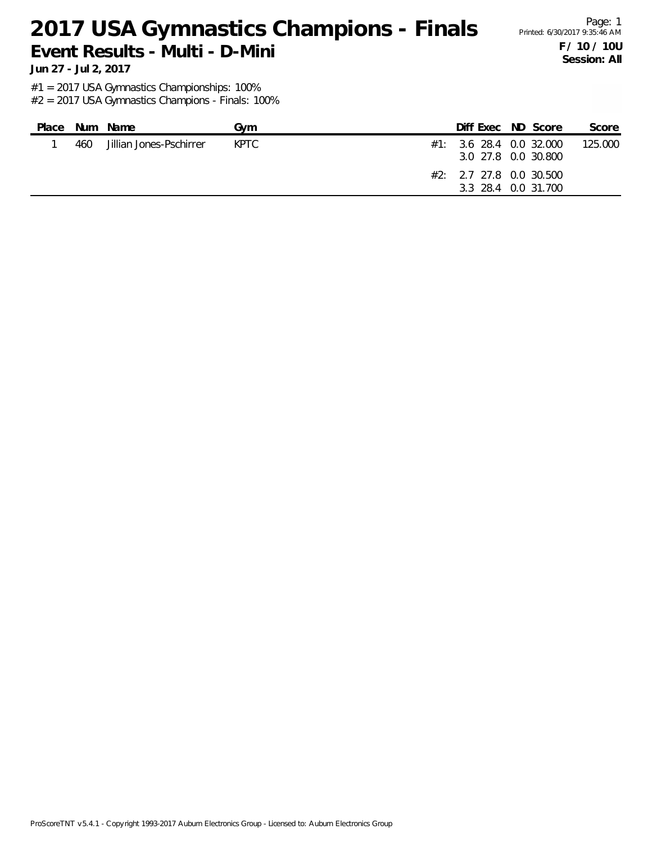#### 2017 USA Gymnastics Champions - Finals Printed: 6/30/2017 9:35:46 AM **Event Results - Multi - D-Mini**

Page: 1 **F / 10 / 10U Session: All**

**Jun 27 - Jul 2, 2017**

#1 = 2017 USA Gymnastics Championships: 100%

| Place |     | Num Name                | Gvm   |  | Diff Exec ND Score                                                                                    | Score   |
|-------|-----|-------------------------|-------|--|-------------------------------------------------------------------------------------------------------|---------|
|       | 460 | Jillian Jones-Pschirrer | KPTC. |  | $\#1:$ 3.6 28.4 0.0 32.000<br>3.0 27.8 0.0 30.800<br>$#2: 2.7$ 27.8 0.0 30.500<br>3.3 28.4 0.0 31.700 | 125,000 |
|       |     |                         |       |  |                                                                                                       |         |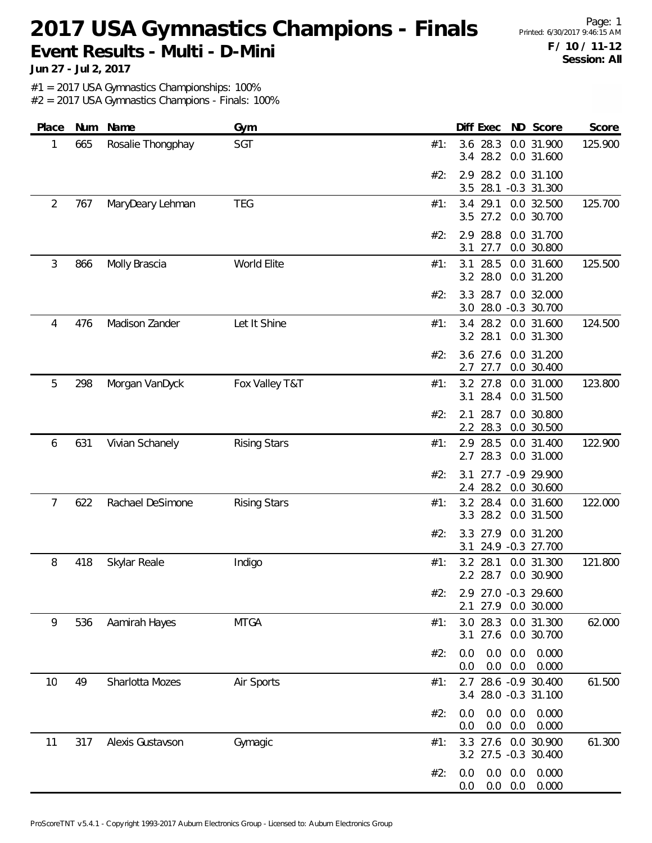#### 2017 USA Gymnastics Champions - Finals Printed: 6/30/2017 9:46:15 AM **Event Results - Multi - D-Mini**

Page: 1 **F / 10 / 11-12 Session: All**

**Jun 27 - Jul 2, 2017**

#1 = 2017 USA Gymnastics Championships: 100%

| Place | Num | Name              | Gym                 | Diff Exec ND Score<br>Score                                           |
|-------|-----|-------------------|---------------------|-----------------------------------------------------------------------|
| 1     | 665 | Rosalie Thongphay | SGT                 | 3.6 28.3<br>0.0 31.900<br>125.900<br>#1:<br>28.2<br>0.0 31.600<br>3.4 |
|       |     |                   |                     | 2.9 28.2<br>0.0 31.100<br>#2:<br>28.1<br>$-0.3$ 31.300<br>3.5         |
| 2     | 767 | MaryDeary Lehman  | <b>TEG</b>          | 0.0 32.500<br>125.700<br>3.4<br>29.1<br>#1:<br>3.5 27.2<br>0.0 30.700 |
|       |     |                   |                     | 2.9 28.8<br>0.0 31.700<br>#2:<br>3.1<br>27.7<br>0.0 30.800            |
| 3     | 866 | Molly Brascia     | World Elite         | 125.500<br>3.1<br>28.5<br>0.0 31.600<br>#1:<br>3.2 28.0<br>0.0 31.200 |
|       |     |                   |                     | 28.7<br>3.3<br>0.0 32.000<br>#2:<br>3.0 28.0 -0.3 30.700              |
| 4     | 476 | Madison Zander    | Let It Shine        | 3.4 28.2<br>0.0 31.600<br>124.500<br>#1:<br>3.2 28.1<br>0.0 31.300    |
|       |     |                   |                     | 3.6 27.6<br>0.0 31.200<br>#2:<br>27.7<br>0.0 30.400<br>2.7            |
| 5     | 298 | Morgan VanDyck    | Fox Valley T&T      | 3.2 27.8<br>0.0 31.000<br>123.800<br>#1:<br>28.4<br>3.1<br>0.0 31.500 |
|       |     |                   |                     | 28.7<br>0.0 30.800<br>#2:<br>2.1<br>2.2 28.3<br>0.0 30.500            |
| 6     | 631 | Vivian Schanely   | <b>Rising Stars</b> | 122.900<br>2.9 28.5<br>0.0 31.400<br>#1:<br>28.3<br>2.7<br>0.0 31.000 |
|       |     |                   |                     | 27.7 -0.9 29.900<br>#2:<br>3.1<br>28.2<br>0.0 30.600<br>2.4           |
| 7     | 622 | Rachael DeSimone  | <b>Rising Stars</b> | 3.2 28.4<br>0.0 31.600<br>122.000<br>#1:<br>3.3 28.2<br>0.0 31.500    |
|       |     |                   |                     | 0.0 31.200<br>#2:<br>3.3 27.9<br>24.9 -0.3 27.700<br>3.1              |
| 8     | 418 | Skylar Reale      | Indigo              | 3.2<br>28.1<br>121.800<br>#1:<br>0.0 31.300<br>2.2 28.7<br>0.0 30.900 |
|       |     |                   |                     | #2:<br>2.9 27.0 -0.3 29.600<br>2.1 27.9 0.0 30.000                    |
| 9     | 536 | Aamirah Hayes     | <b>MTGA</b>         | 3.0 28.3<br>0.0 31.300<br>62.000<br>#1:<br>27.6 0.0 30.700<br>3.1     |
|       |     |                   |                     | 0.0<br>0.0<br>0.0<br>0.000<br>#2:<br>0.0<br>0.0<br>0.0<br>0.000       |
| 10    | 49  | Sharlotta Mozes   | Air Sports          | 2.7 28.6 -0.9 30.400<br>61.500<br>#1:<br>3.4 28.0 -0.3 31.100         |
|       |     |                   |                     | 0.0<br>0.0<br>0.000<br>#2:<br>0.0<br>0.0<br>0.0<br>0.000<br>0.0       |
| 11    | 317 | Alexis Gustavson  | Gymagic             | 61.300<br>3.3 27.6 0.0 30.900<br>#1:<br>3.2 27.5 -0.3 30.400          |
|       |     |                   |                     | 0.0<br>0.0<br>0.000<br>#2:<br>0.0<br>$0.0\ 0.0$<br>0.000<br>0.0       |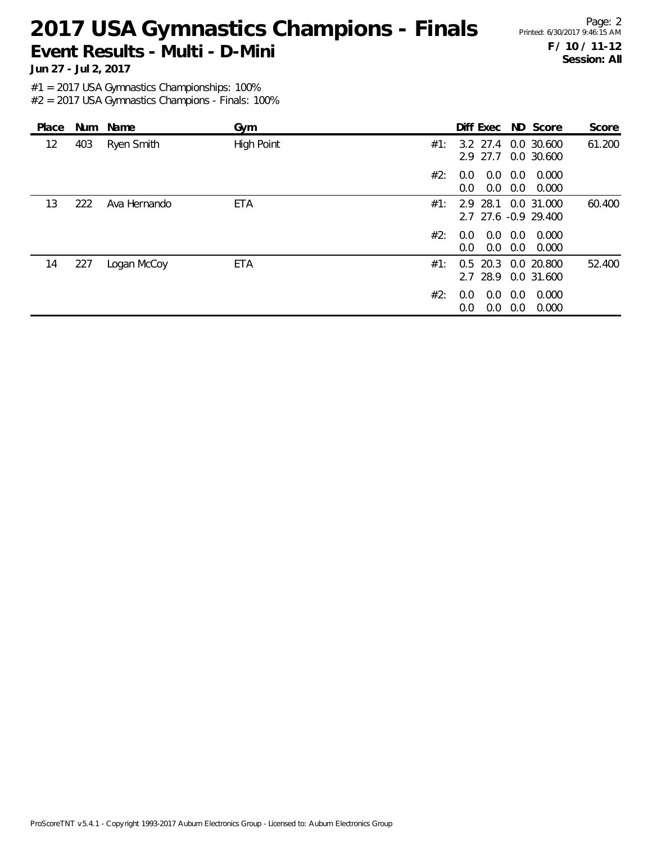### 2017 USA Gymnastics Champions - Finals Printed: 6/30/2017 9:46:15 AM **Event Results - Multi - D-Mini**

Page: 2 **F / 10 / 11-12 Session: All**

**Jun 27 - Jul 2, 2017**

#1 = 2017 USA Gymnastics Championships: 100%

| Place |     | Num Name     | Gym               |     | Diff Exec ND Score                          |            |                | Score  |
|-------|-----|--------------|-------------------|-----|---------------------------------------------|------------|----------------|--------|
| 12    | 403 | Ryen Smith   | <b>High Point</b> | #1: | 3.2 27.4 0.0 30.600<br>2.9 27.7             |            | 0.0 30.600     | 61.200 |
|       |     |              |                   | #2: | 0.0<br>0.0<br>0.0<br>0.0                    | 0.0<br>0.0 | 0.000<br>0.000 |        |
| 13    | 222 | Ava Hernando | <b>ETA</b>        | #1: | 2.9 28.1 0.0 31.000<br>2.7 27.6 -0.9 29.400 |            |                | 60.400 |
|       |     |              |                   | #2: | 0.0<br>0.0<br>0.0<br>0.0                    | 0.0<br>0.0 | 0.000<br>0.000 |        |
| 14    | 227 | Logan McCoy  | ETA               | #1: | 0.5 20.3 0.0 20.800<br>2.7 28.9             |            | 0.0 31.600     | 52.400 |
|       |     |              |                   | #2: | 0.0<br>0.0<br>0.0<br>0.0                    | 0.0<br>0.0 | 0.000<br>0.000 |        |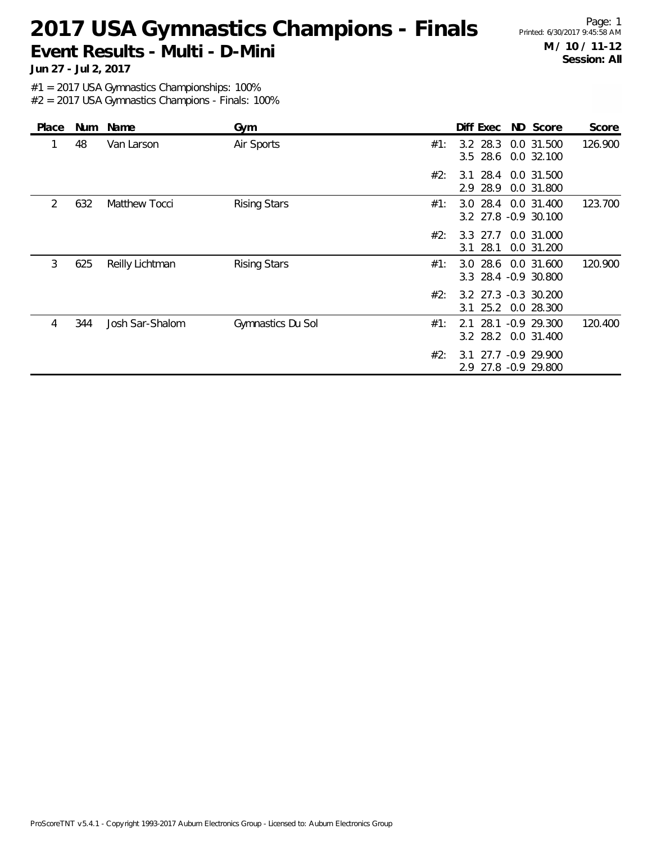# 2017 USA Gymnastics Champions - Finals Printed: 6/30/2017 9:45:58 AM **Event Results - Multi - D-Mini**

Page: 1 **M / 10 / 11-12 Session: All**

**Jun 27 - Jul 2, 2017**

#1 = 2017 USA Gymnastics Championships: 100%

| Place | Num | Name            | Gym                 |     | Diff Exec                                   | ND Score                 | Score   |
|-------|-----|-----------------|---------------------|-----|---------------------------------------------|--------------------------|---------|
|       | 48  | Van Larson      | Air Sports          | #1: | $3.2$ 28.3<br>$3.5$ 28.6                    | 0.0 31.500<br>0.0 32.100 | 126.900 |
|       |     |                 |                     | #2: | 3.1 28.4 0.0 31.500<br>2.9 28.9             | 0.0 31.800               |         |
| 2     | 632 | Matthew Tocci   | <b>Rising Stars</b> | #1: | 3.0 28.4 0.0 31.400<br>3.2 27.8 -0.9 30.100 |                          | 123.700 |
|       |     |                 |                     | #2: | 3.3 27.7<br>28.1<br>3.1                     | 0.0 31.000<br>0.0 31.200 |         |
| 3     | 625 | Reilly Lichtman | <b>Rising Stars</b> | #1: | 3.0<br>3.3 28.4 -0.9 30.800                 | 28.6 0.0 31.600          | 120,900 |
|       |     |                 |                     | #2: | 3.2 27.3 -0.3 30.200<br>3.1 25.2 0.0 28.300 |                          |         |
| 4     | 344 | Josh Sar-Shalom | Gymnastics Du Sol   | #1: | 2.1<br>3.2 28.2 0.0 31.400                  | 28.1 -0.9 29.300         | 120.400 |
|       |     |                 |                     | #2: | 3 1<br>2.9 27.8 -0.9 29.800                 | 27.7 -0.9 29.900         |         |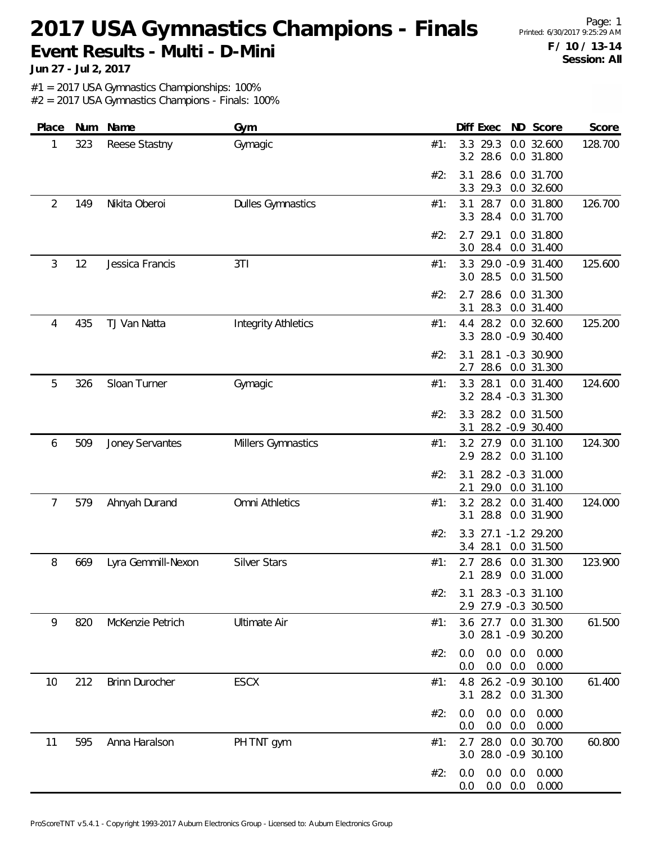## 2017 USA Gymnastics Champions - Finals Printed: 6/30/2017 9:25:29 AM **Event Results - Multi - D-Mini**

Page: 1 **F / 10 / 13-14 Session: All**

**Jun 27 - Jul 2, 2017**

#1 = 2017 USA Gymnastics Championships: 100%

| Place | Num | Name               | Gym                        | Diff Exec ND Score<br>Score                                              |
|-------|-----|--------------------|----------------------------|--------------------------------------------------------------------------|
| 1     | 323 | Reese Stastny      | Gymagic                    | 3.3 29.3<br>0.0 32.600<br>128.700<br>#1:<br>3.2 28.6<br>0.0 31.800       |
|       |     |                    |                            | 28.6<br>#2:<br>0.0 31.700<br>3.1<br>3.3<br>29.3<br>0.0 32.600            |
| 2     | 149 | Nikita Oberoi      | <b>Dulles Gymnastics</b>   | 0.0 31.800<br>126.700<br>3.1<br>28.7<br>#1:<br>28.4<br>3.3<br>0.0 31.700 |
|       |     |                    |                            | 29.1<br>0.0 31.800<br>#2:<br>2.7<br>3.0 28.4<br>0.0 31.400               |
| 3     | 12  | Jessica Francis    | 3T1                        | 125.600<br>3.3 29.0 -0.9 31.400<br>#1:<br>3.0 28.5<br>0.0 31.500         |
|       |     |                    |                            | 28.6<br>2.7<br>0.0 31.300<br>#2:<br>28.3<br>0.0 31.400<br>3.1            |
| 4     | 435 | TJ Van Natta       | <b>Integrity Athletics</b> | 125.200<br>4.4 28.2 0.0 32.600<br>#1:<br>3.3 28.0 -0.9 30.400            |
|       |     |                    |                            | 3.1 28.1 -0.3 30.900<br>#2:<br>28.6 0.0 31.300<br>2.7                    |
| 5     | 326 | Sloan Turner       | Gymagic                    | 3.3 28.1 0.0 31.400<br>124.600<br>#1:<br>3.2 28.4 -0.3 31.300            |
|       |     |                    |                            | 28.2 0.0 31.500<br>#2:<br>3.3<br>28.2 - 0.9 30.400<br>3.1                |
| 6     | 509 | Joney Servantes    | Millers Gymnastics         | 124.300<br>3.2 27.9<br>0.0 31.100<br>#1:<br>2.9 28.2<br>0.0 31.100       |
|       |     |                    |                            | 28.2 -0.3 31.000<br>#2:<br>3.1<br>29.0<br>2.1<br>0.0 31.100              |
| 7     | 579 | Ahnyah Durand      | Omni Athletics             | 124.000<br>3.2 28.2<br>0.0 31.400<br>#1:<br>3.1 28.8<br>0.0 31.900       |
|       |     |                    |                            | 3.3 27.1 -1.2 29.200<br>#2:<br>28.1<br>0.0 31.500<br>3.4                 |
| 8     | 669 | Lyra Gemmill-Nexon | <b>Silver Stars</b>        | 2.7 28.6 0.0 31.300<br>123.900<br>#1:<br>28.9<br>0.0 31.000<br>2.1       |
|       |     |                    |                            | #2:<br>3.1 28.3 -0.3 31.100<br>2.9 27.9 -0.3 30.500                      |
| 9     | 820 | McKenzie Petrich   | <b>Ultimate Air</b>        | 3.6 27.7 0.0 31.300<br>61.500<br>#1:<br>3.0 28.1 -0.9 30.200             |
|       |     |                    |                            | 0.0<br>$0.0$ $0.0$ $0.000$<br>#2:<br>$0.0\quad 0.0$<br>0.000<br>0.0      |
| 10    | 212 | Brinn Durocher     | <b>ESCX</b>                | 4.8 26.2 -0.9 30.100<br>61.400<br>#1:<br>3.1 28.2 0.0 31.300             |
|       |     |                    |                            | 0.0<br>0.0<br>0.000<br>#2:<br>0.0<br>$0.0\quad 0.0$<br>0.000<br>0.0      |
| 11    | 595 | Anna Haralson      | PH TNT gym                 | 60.800<br>2.7 28.0 0.0 30.700<br>#1:<br>3.0 28.0 -0.9 30.100             |
|       |     |                    |                            | $0.0$ $0.0$ $0.000$<br>0.0<br>#2:<br>$0.0\quad 0.0$<br>0.000<br>0.0      |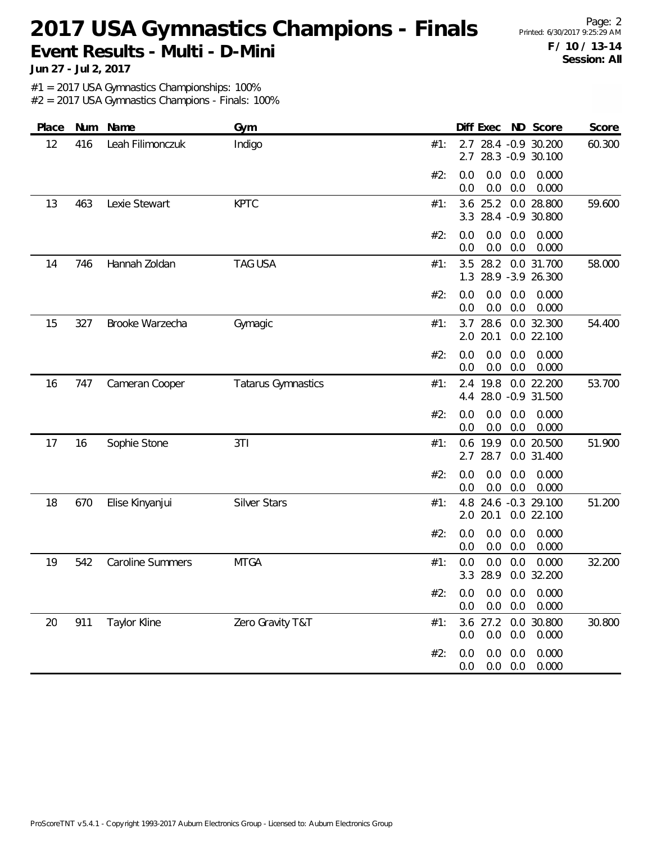### 2017 USA Gymnastics Champions - Finals Printed: 6/30/2017 9:25:29 AM **Event Results - Multi - D-Mini**

Page: 2 **F / 10 / 13-14 Session: All**

**Jun 27 - Jul 2, 2017**

#1 = 2017 USA Gymnastics Championships: 100%

| Place | Num | Name                    | Gym                       | Diff Exec ND Score<br>Score                                           |
|-------|-----|-------------------------|---------------------------|-----------------------------------------------------------------------|
| 12    | 416 | Leah Filimonczuk        | Indigo                    | 2.7 28.4 -0.9 30.200<br>60.300<br>#1:<br>2.7 28.3 -0.9 30.100         |
|       |     |                         |                           | 0.0<br>0.000<br>#2:<br>0.0<br>0.0<br>0.0<br>0.0<br>0.000<br>0.0       |
| 13    | 463 | Lexie Stewart           | <b>KPTC</b>               | 25.2<br>0.0 28.800<br>59.600<br>3.6<br>#1:<br>3.3 28.4 -0.9 30.800    |
|       |     |                         |                           | 0.0<br>0.0<br>0.000<br>#2:<br>0.0<br>0.000<br>0.0<br>0.0<br>0.0       |
| 14    | 746 | Hannah Zoldan           | <b>TAG USA</b>            | 3.5 28.2<br>0.0 31.700<br>58.000<br>#1:<br>1.3 28.9 -3.9 26.300       |
|       |     |                         |                           | 0.0<br>0.0<br>#2:<br>0.0<br>0.000<br>0.0<br>0.0<br>0.0<br>0.000       |
| 15    | 327 | Brooke Warzecha         | Gymagic                   | 28.6<br>3.7<br>0.0 32.300<br>54.400<br>#1:<br>2.0 20.1<br>0.0 22.100  |
|       |     |                         |                           | 0.0<br>0.000<br>#2:<br>0.0<br>0.0<br>0.0<br>0.0<br>0.000<br>0.0       |
| 16    | 747 | Cameran Cooper          | <b>Tatarus Gymnastics</b> | 2.4 19.8<br>0.0 22.200<br>53.700<br>#1:<br>28.0 -0.9 31.500<br>4.4    |
|       |     |                         |                           | 0.0<br>0.0<br>0.000<br>#2:<br>0.0<br>0.0<br>0.0<br>0.0<br>0.000       |
| 17    | 16  | Sophie Stone            | 3T1                       | 51.900<br>0.6 19.9<br>0.0 20.500<br>#1:<br>2.7<br>28.7<br>0.0 31.400  |
|       |     |                         |                           | 0.0<br>0.0<br>0.0<br>0.000<br>#2:<br>0.0<br>0.0<br>0.000<br>0.0       |
| 18    | 670 | Elise Kinyanjui         | <b>Silver Stars</b>       | 51.200<br>4.8<br>24.6 -0.3 29.100<br>#1:<br>2.0 20.1<br>0.0 22.100    |
|       |     |                         |                           | 0.0<br>0.0<br>0.000<br>#2:<br>0.0<br>0.0<br>0.0<br>0.000<br>0.0       |
| 19    | 542 | <b>Caroline Summers</b> | <b>MTGA</b>               | 0.000<br>0.0<br>0.0<br>0.0<br>32.200<br>#1:<br>3.3 28.9<br>0.0 32.200 |
|       |     |                         |                           | #2: 0.0 0.0 0.0 0.000<br>0.0<br>$0.0\quad 0.0$<br>0.000               |
| 20    | 911 | <b>Taylor Kline</b>     | Zero Gravity T&T          | 3.6 27.2 0.0 30.800<br>30.800<br>#1:<br>0.0<br>0.0<br>0.0<br>0.000    |
|       |     |                         |                           | 0.000<br>0.0<br>0.0<br>0.0<br>#2:<br>$0.0\ 0.0$<br>0.000<br>0.0       |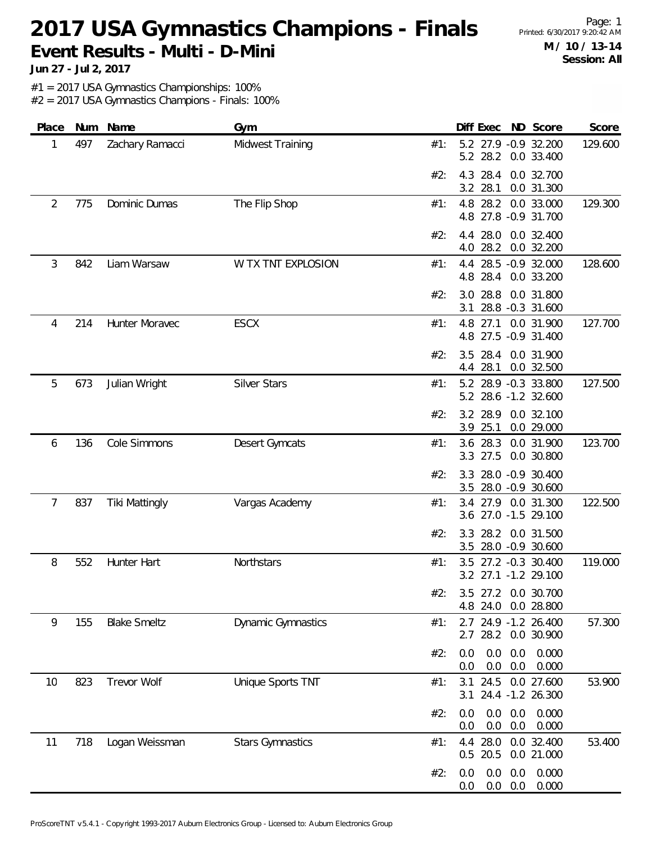# 2017 USA Gymnastics Champions - Finals Printed: 6/30/2017 9:20:42 AM **Event Results - Multi - D-Mini**

Page: 1 **M / 10 / 13-14 Session: All**

**Jun 27 - Jul 2, 2017**

#1 = 2017 USA Gymnastics Championships: 100%

| Place | Num | Name                  | Gym                       | Diff Exec<br>ND Score                                           | Score   |
|-------|-----|-----------------------|---------------------------|-----------------------------------------------------------------|---------|
| 1     | 497 | Zachary Ramacci       | Midwest Training          | 5.2 27.9 -0.9 32.200<br>#1:<br>28.2<br>5.2<br>0.0 33.400        | 129.600 |
|       |     |                       |                           | 28.4<br>0.0 32.700<br>#2:<br>4.3<br>3.2<br>28.1<br>0.0 31.300   |         |
| 2     | 775 | Dominic Dumas         | The Flip Shop             | 28.2<br>0.0 33.000<br>#1:<br>4.8<br>4.8 27.8 -0.9 31.700        | 129.300 |
|       |     |                       |                           | 28.0<br>0.0 32.400<br>#2:<br>4.4<br>28.2<br>0.0 32.200<br>4.0   |         |
| 3     | 842 | Liam Warsaw           | W TX TNT EXPLOSION        | 4.4<br>28.5 -0.9 32.000<br>#1:<br>28.4<br>0.0 33.200<br>4.8     | 128.600 |
|       |     |                       |                           | 28.8<br>0.0 31.800<br>#2:<br>3.0<br>28.8 -0.3 31.600<br>3.1     |         |
| 4     | 214 | Hunter Moravec        | <b>ESCX</b>               | 4.8 27.1 0.0 31.900<br>#1:<br>4.8 27.5 -0.9 31.400              | 127.700 |
|       |     |                       |                           | #2:<br>3.5<br>28.4<br>0.0 31.900<br>28.1<br>0.0 32.500<br>4.4   |         |
| 5     | 673 | Julian Wright         | Silver Stars              | 5.2<br>28.9 -0.3 33.800<br>#1:<br>5.2 28.6 -1.2 32.600          | 127.500 |
|       |     |                       |                           | 3.2 28.9<br>0.0 32.100<br>#2:<br>3.9 25.1<br>0.0 29.000         |         |
| 6     | 136 | Cole Simmons          | Desert Gymcats            | 0.0 31.900<br>#1:<br>3.6 28.3<br>27.5<br>0.0 30.800<br>3.3      | 123.700 |
|       |     |                       |                           | 28.0 -0.9 30.400<br>#2:<br>3.3<br>28.0 -0.9 30.600<br>3.5       |         |
| 7     | 837 | <b>Tiki Mattingly</b> | Vargas Academy            | 3.4 27.9 0.0 31.300<br>#1:<br>3.6 27.0 -1.5 29.100              | 122.500 |
|       |     |                       |                           | #2:<br>3.3<br>28.2<br>0.0 31.500<br>28.0 -0.9 30.600<br>3.5     |         |
| 8     | 552 | Hunter Hart           | Northstars                | 27.2 -0.3 30.400<br>#1:<br>3.5<br>3.2 27.1 -1.2 29.100          | 119.000 |
|       |     |                       |                           | #2۰<br>3.5 27.2 0.0 30.700<br>4.8 24.0 0.0 28.800               |         |
| 9     | 155 | <b>Blake Smeltz</b>   | <b>Dynamic Gymnastics</b> | 2.7 24.9 -1.2 26.400<br>#1:<br>2.7 28.2 0.0 30.900              | 57.300  |
|       |     |                       |                           | #2:<br>0.0<br>0.0<br>0.0<br>0.000<br>0.0<br>0.0<br>0.000<br>0.0 |         |
| 10    | 823 | Trevor Wolf           | Unique Sports TNT         | 0.0 27.600<br>24.5<br>3.1<br>#1:<br>3.1 24.4 -1.2 26.300        | 53.900  |
|       |     |                       |                           | 0.0<br>#2:<br>0.0<br>0.000<br>0.0<br>0.0<br>0.0<br>0.000<br>0.0 |         |
| 11    | 718 | Logan Weissman        | <b>Stars Gymnastics</b>   | 4.4 28.0 0.0 32.400<br>#1:<br>0.5 20.5<br>0.0 21.000            | 53.400  |
|       |     |                       |                           | 0.0<br>0.000<br>#2:<br>0.0<br>0.0<br>0.0<br>0.0<br>0.000<br>0.0 |         |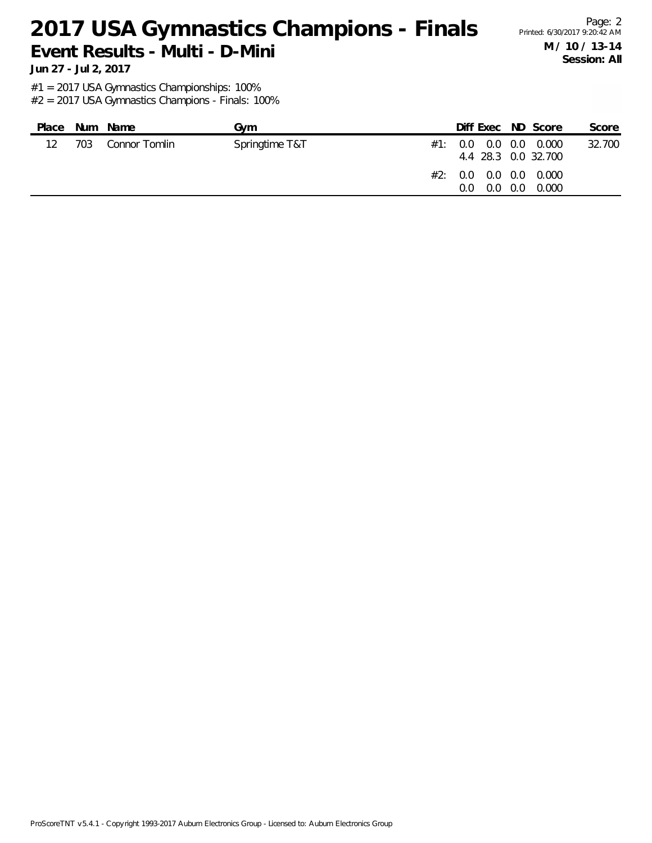### 2017 USA Gymnastics Champions - Finals Printed: 6/30/2017 9:20:42 AM **Event Results - Multi - D-Mini**

Page: 2 **M / 10 / 13-14 Session: All**

**Jun 27 - Jul 2, 2017**

#1 = 2017 USA Gymnastics Championships: 100%

| Place |     | Num Name      | Gvm            | Diff Exec ND Score                               |     |       | Score  |
|-------|-----|---------------|----------------|--------------------------------------------------|-----|-------|--------|
| 12    | 703 | Connor Tomlin | Springtime T&T | $\#1$ : 0.0 0.0 0.0 0.000<br>4.4 28.3 0.0 32.700 |     |       | 32.700 |
|       |     |               |                | #2: 0.0 0.0 0.0 0.000<br>$0.0^{\circ}$<br>0.0    | 0.0 | 0.000 |        |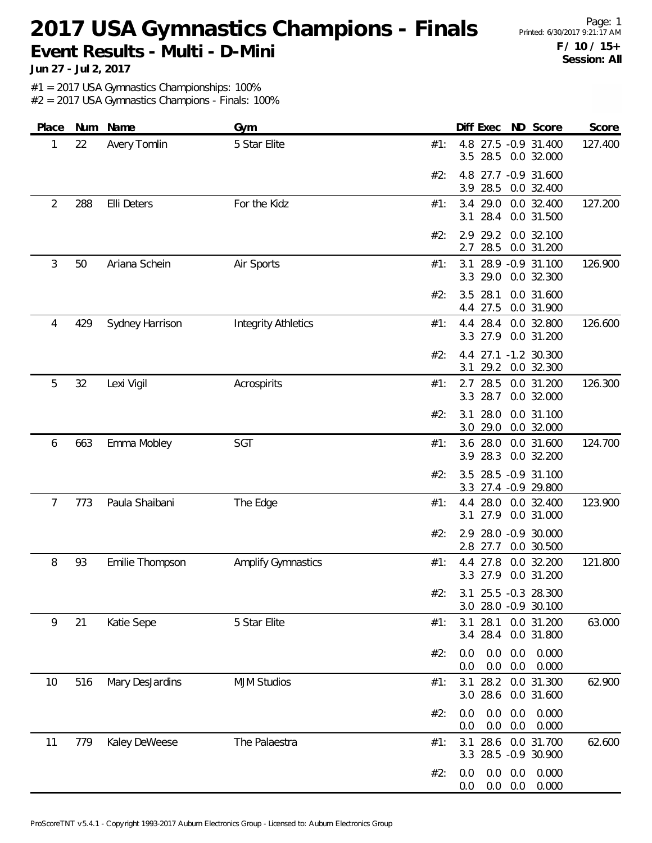## 2017 USA Gymnastics Champions - Finals Printed: 6/30/2017 9:21:17 AM **Event Results - Multi - D-Mini**

**Jun 27 - Jul 2, 2017**

#1 = 2017 USA Gymnastics Championships: 100%

| Place          | Num | Name            | Gym                        | Diff Exec<br>ND Score                                           | Score   |
|----------------|-----|-----------------|----------------------------|-----------------------------------------------------------------|---------|
| 1              | 22  | Avery Tomlin    | 5 Star Elite               | 4.8 27.5 -0.9 31.400<br>#1:<br>28.5<br>3.5<br>0.0 32.000        | 127.400 |
|                |     |                 |                            | 4.8<br>27.7 -0.9 31.600<br>#2:<br>28.5<br>3.9<br>0.0 32.400     |         |
| $\overline{2}$ | 288 | Elli Deters     | For the Kidz               | 3.4<br>29.0<br>0.0 32.400<br>#1:<br>28.4<br>3.1<br>0.0 31.500   | 127.200 |
|                |     |                 |                            | 29.2<br>0.0 32.100<br>#2:<br>2.9<br>28.5<br>2.7<br>0.0 31.200   |         |
| 3              | 50  | Ariana Schein   | Air Sports                 | 28.9 - 0.9 31.100<br>#1:<br>3.1<br>3.3<br>29.0<br>0.0 32.300    | 126.900 |
|                |     |                 |                            | 28.1<br>#2:<br>3.5<br>0.0 31.600<br>27.5<br>0.0 31.900<br>4.4   |         |
| 4              | 429 | Sydney Harrison | <b>Integrity Athletics</b> | 28.4<br>0.0 32.800<br>#1:<br>4.4<br>27.9<br>0.0 31.200<br>3.3   | 126.600 |
|                |     |                 |                            | 4.4 27.1 -1.2 30.300<br>#2:<br>3.1<br>29.2 0.0 32.300           |         |
| 5              | 32  | Lexi Vigil      | Acrospirits                | 2.7<br>28.5<br>0.0 31.200<br>#1:<br>28.7<br>3.3<br>0.0 32.000   | 126.300 |
|                |     |                 |                            | 28.0<br>0.0 31.100<br>#2:<br>3.1<br>29.0<br>3.0<br>0.0 32.000   |         |
| 6              | 663 | Emma Mobley     | SGT                        | 3.6 28.0<br>0.0 31.600<br>#1:<br>28.3<br>0.0 32.200<br>3.9      | 124.700 |
|                |     |                 |                            | 28.5 -0.9 31.100<br>3.5<br>#2:<br>27.4 - 0.9 29.800<br>3.3      |         |
| 7              | 773 | Paula Shaibani  | The Edge                   | 28.0<br>0.0 32.400<br>#1:<br>4.4<br>27.9<br>0.0 31.000<br>3.1   | 123.900 |
|                |     |                 |                            | 28.0 -0.9 30.000<br>#2:<br>2.9<br>2.8<br>27.7<br>0.0 30.500     |         |
| 8              | 93  | Emilie Thompson | <b>Amplify Gymnastics</b>  | #1:<br>4.4<br>27.8<br>0.0 32.200<br>27.9<br>0.0 31.200<br>3.3   | 121.800 |
|                |     |                 |                            | #2:<br>3.1 25.5 -0.3 28.300<br>28.0 -0.9 30.100<br>3.0          |         |
| 9              | 21  | Katie Sepe      | 5 Star Elite               | 28.1<br>0.0 31.200<br>3.1<br>#1:<br>28.4<br>0.0 31.800<br>3.4   | 63.000  |
|                |     |                 |                            | 0.0<br>0.000<br>0.0<br>0.0<br>#2:<br>0.0<br>0.0<br>0.0<br>0.000 |         |
| 10             | 516 | Mary DesJardins | <b>MJM Studios</b>         | 28.2<br>0.0 31.300<br>3.1<br>#1:<br>28.6<br>0.0 31.600<br>3.0   | 62.900  |
|                |     |                 |                            | 0.0<br>0.0<br>0.0<br>#2:<br>0.000<br>0.0<br>0.0<br>0.0<br>0.000 |         |
| 11             | 779 | Kaley DeWeese   | The Palaestra              | 28.6<br>0.0 31.700<br>#1:<br>3.1<br>28.5 -0.9 30.900<br>3.3     | 62.600  |
|                |     |                 |                            | #2:<br>0.0<br>0.0<br>0.0<br>0.000<br>0.0<br>0.000<br>0.0<br>0.0 |         |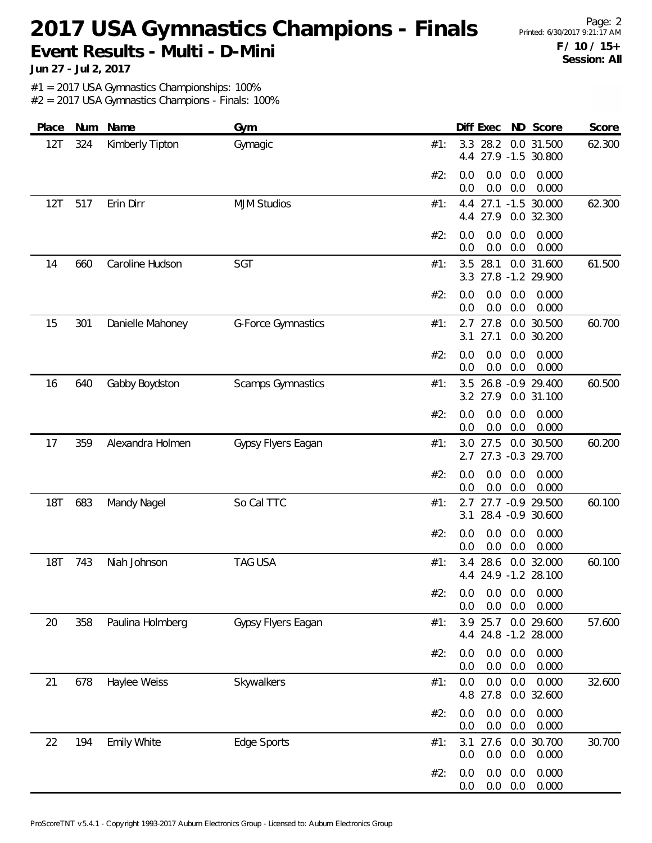### 2017 USA Gymnastics Champions - Finals Printed: 6/30/2017 9:21:17 AM **Event Results - Multi - D-Mini**

Page: 2 **F / 10 / 15+ Session: All**

**Jun 27 - Jul 2, 2017**

#1 = 2017 USA Gymnastics Championships: 100%

| Place      | Num | Name               | Gym                | Score<br>Diff Exec<br>ND Score                                         |
|------------|-----|--------------------|--------------------|------------------------------------------------------------------------|
| 12T        | 324 | Kimberly Tipton    | Gymagic            | 3.3<br>28.2<br>0.0 31.500<br>62.300<br>#1:<br>27.9 -1.5 30.800<br>4.4  |
|            |     |                    |                    | 0.0<br>0.0<br>0.000<br>#2:<br>0.0<br>$0.0\,$<br>0.0<br>0.000<br>0.0    |
| 12T        | 517 | Erin Dirr          | <b>MJM Studios</b> | 27.1 -1.5 30.000<br>#1:<br>62.300<br>4.4<br>4.4 27.9<br>0.0 32.300     |
|            |     |                    |                    | 0.0<br>0.0<br>0.000<br>#2:<br>0.0<br>0.0<br>0.0<br>0.000<br>0.0        |
| 14         | 660 | Caroline Hudson    | SGT                | 28.1<br>0.0 31.600<br>61.500<br>#1:<br>3.5<br>27.8 -1.2 29.900<br>3.3  |
|            |     |                    |                    | #2:<br>0.0<br>0.0<br>0.000<br>0.0<br>0.0<br>0.0<br>0.000<br>0.0        |
| 15         | 301 | Danielle Mahoney   | G-Force Gymnastics | $2.7$ 27.8<br>0.0 30.500<br>60.700<br>#1:<br>27.1<br>0.0 30.200<br>3.1 |
|            |     |                    |                    | 0.000<br>#2:<br>0.0<br>0.0<br>0.0<br>0.0<br>0.0<br>0.000<br>0.0        |
| 16         | 640 | Gabby Boydston     | Scamps Gymnastics  | 26.8 - 0.9 29.400<br>60.500<br>#1:<br>3.5<br>3.2 27.9<br>0.0 31.100    |
|            |     |                    |                    | #2:<br>0.0<br>0.0<br>0.000<br>0.0<br>0.0<br>0.0<br>0.0<br>0.000        |
| 17         | 359 | Alexandra Holmen   | Gypsy Flyers Eagan | 60.200<br>3.0 27.5<br>0.0 30.500<br>#1:<br>27.3 -0.3 29.700<br>2.7     |
|            |     |                    |                    | 0.0<br>#2:<br>0.0<br>0.0<br>0.000<br>0.0<br>0.0<br>0.0<br>0.000        |
| <b>18T</b> | 683 | Mandy Nagel        | So Cal TTC         | 60.100<br>2.7 27.7 -0.9 29.500<br>#1:<br>28.4 -0.9 30.600<br>3.1       |
|            |     |                    |                    | 0.000<br>#2:<br>0.0<br>0.0<br>0.0<br>0.0<br>0.0<br>0.000<br>0.0        |
| <b>18T</b> | 743 | Niah Johnson       | <b>TAG USA</b>     | 28.6<br>0.0 32.000<br>60.100<br>#1:<br>3.4<br>4.4 24.9 -1.2 28.100     |
|            |     |                    |                    | #2:<br>0.0 0.0 0.0 0.000<br>0.0<br>0.0<br>0.000<br>0.0                 |
| 20         | 358 | Paulina Holmberg   | Gypsy Flyers Eagan | 3.9 25.7 0.0 29.600<br>57.600<br>#1:<br>4.4 24.8 -1.2 28.000           |
|            |     |                    |                    | #2:<br>0.0<br>0.0<br>0.0<br>0.000<br>0.0<br>0.000<br>0.0<br>0.0        |
| 21         | 678 | Haylee Weiss       | Skywalkers         | 0.000<br>0.0<br>0.0<br>32.600<br>0.0<br>#1:<br>4.8 27.8<br>0.0 32.600  |
|            |     |                    |                    | 0.0<br>0.0<br>0.000<br>#2:<br>0.0<br>0.0<br>0.000<br>0.0<br>0.0        |
| 22         | 194 | <b>Emily White</b> | Edge Sports        | 27.6 0.0 30.700<br>30.700<br>#1:<br>3.1<br>0.0<br>0.0<br>0.000<br>0.0  |
|            |     |                    |                    | 0.000<br>0.0<br>0.0<br>#2:<br>0.0<br>0.000<br>0.0<br>0.0<br>0.0        |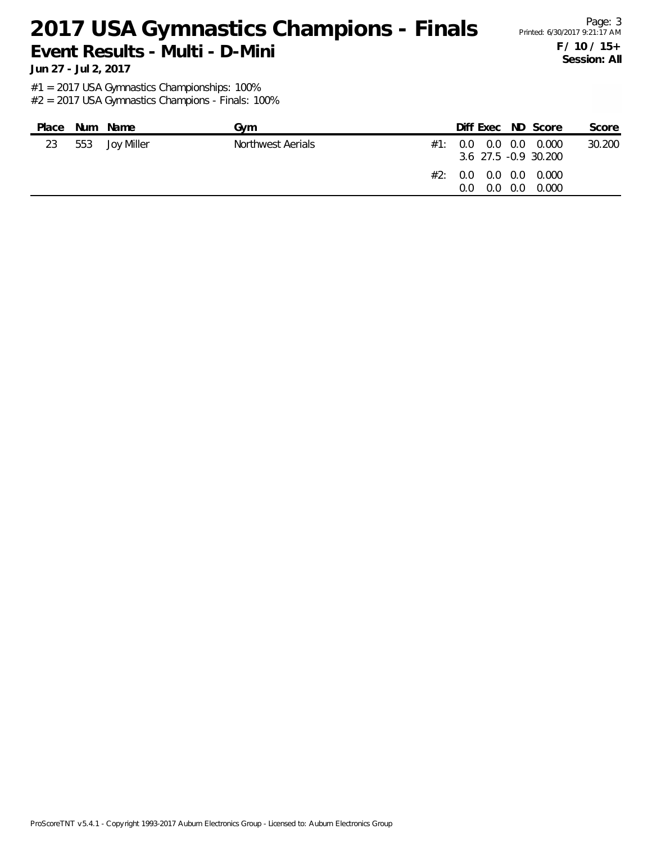#### 2017 USA Gymnastics Champions - Finals Printed: 6/30/2017 9:21:17 AM **Event Results - Multi - D-Mini**

Page: 3 **F / 10 / 15+ Session: All**

**Jun 27 - Jul 2, 2017**

#1 = 2017 USA Gymnastics Championships: 100%

| Place | Num Name       | Gvm               | Diff Exec ND Score                                                                                     |     |       | Score  |
|-------|----------------|-------------------|--------------------------------------------------------------------------------------------------------|-----|-------|--------|
| 23    | 553 Joy Miller | Northwest Aerials | $\#1$ : 0.0 0.0 0.0 0.000<br>3.6 27.5 -0.9 30.200<br>$\#2$ : 0.0 0.0 0.0 0.000<br>$0.0^{\circ}$<br>0.O | 0.0 | 0.000 | 30.200 |
|       |                |                   |                                                                                                        |     |       |        |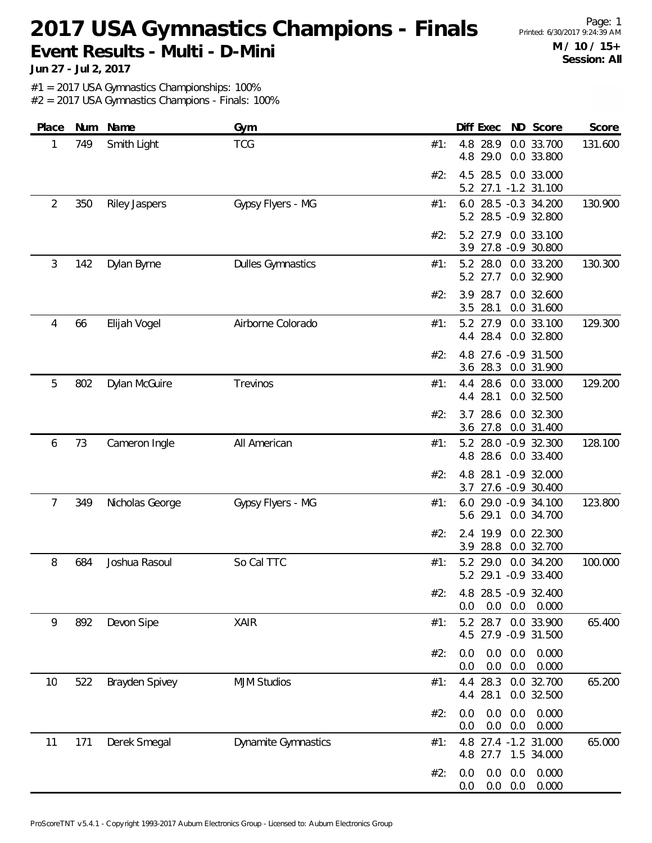### 2017 USA Gymnastics Champions - Finals Printed: 6/30/2017 9:24:39 AM **Event Results - Multi - D-Mini**

Page: 1 **M / 10 / 15+ Session: All**

**Jun 27 - Jul 2, 2017**

#1 = 2017 USA Gymnastics Championships: 100%

| Place | Num | Name                 | Gym                      | Diff Exec ND Score<br>Score                                              |
|-------|-----|----------------------|--------------------------|--------------------------------------------------------------------------|
| 1     | 749 | Smith Light          | <b>TCG</b>               | 4.8 28.9<br>0.0 33.700<br>131.600<br>#1:<br>4.8 29.0<br>0.0 33.800       |
|       |     |                      |                          | 4.5 28.5<br>0.0 33.000<br>#2:<br>27.1 -1.2 31.100<br>5.2                 |
| 2     | 350 | <b>Riley Jaspers</b> | Gypsy Flyers - MG        | 6.0 28.5 -0.3 34.200<br>130.900<br>#1:<br>5.2 28.5 -0.9 32.800           |
|       |     |                      |                          | 5.2 27.9<br>0.0 33.100<br>#2:<br>3.9 27.8 -0.9 30.800                    |
| 3     | 142 | Dylan Byrne          | <b>Dulles Gymnastics</b> | 130.300<br>5.2 28.0 0.0 33.200<br>#1:<br>5.2 27.7<br>0.0 32.900          |
|       |     |                      |                          | 28.7<br>0.0 32.600<br>#2:<br>3.9<br>3.5<br>28.1<br>0.0 31.600            |
| 4     | 66  | Elijah Vogel         | Airborne Colorado        | 5.2 27.9<br>0.0 33.100<br>129.300<br>#1:<br>4.4 28.4<br>0.0 32.800       |
|       |     |                      |                          | 4.8 27.6 -0.9 31.500<br>#2:<br>3.6 28.3<br>0.0 31.900                    |
| 5     | 802 | Dylan McGuire        | Trevinos                 | 28.6<br>4.4<br>0.0 33.000<br>129.200<br>#1:<br>28.1<br>0.0 32.500<br>4.4 |
|       |     |                      |                          | 28.6<br>0.0 32.300<br>#2:<br>3.7<br>3.6 27.8 0.0 31.400                  |
| 6     | 73  | Cameron Ingle        | All American             | 128.100<br>5.2 28.0 -0.9 32.300<br>#1:<br>4.8 28.6<br>0.0 33.400         |
|       |     |                      |                          | 4.8 28.1 -0.9 32.000<br>#2:<br>3.7 27.6 -0.9 30.400                      |
| 7     | 349 | Nicholas George      | Gypsy Flyers - MG        | 6.0 29.0 -0.9 34.100<br>123.800<br>#1:<br>5.6 29.1<br>0.0 34.700         |
|       |     |                      |                          | 2.4 19.9<br>0.0 22.300<br>#2:<br>28.8<br>0.0 32.700<br>3.9               |
| 8     | 684 | Joshua Rasoul        | So Cal TTC               | 5.2<br>29.0<br>0.0 34.200<br>100.000<br>#1:<br>5.2 29.1 -0.9 33.400      |
|       |     |                      |                          | #2: 4.8 28.5 -0.9 32.400<br>0.0<br>$0.0\quad 0.000$<br>0.0               |
| 9     | 892 | Devon Sipe           | <b>XAIR</b>              | 5.2 28.7 0.0 33.900<br>65.400<br>#1:<br>4.5 27.9 -0.9 31.500             |
|       |     |                      |                          | 0.0<br>#2:<br>0.0<br>0.0<br>0.000<br>0.0<br>0.0<br>0.0<br>0.000          |
| 10    | 522 | Brayden Spivey       | <b>MJM Studios</b>       | 4.4 28.3<br>0.0 32.700<br>65.200<br>#1:<br>4.4 28.1<br>0.0 32.500        |
|       |     |                      |                          | 0.0<br>0.0<br>0.0<br>0.000<br>#2:<br>0.0<br>0.0<br>0.000<br>0.0          |
| 11    | 171 | Derek Smegal         | Dynamite Gymnastics      | 65.000<br>4.8 27.4 -1.2 31.000<br>#1:<br>1.5 34.000<br>4.8 27.7          |
|       |     |                      |                          | 0.0<br>0.0<br>0.000<br>#2:<br>0.0<br>$0.0\quad 0.0$<br>0.000<br>0.0      |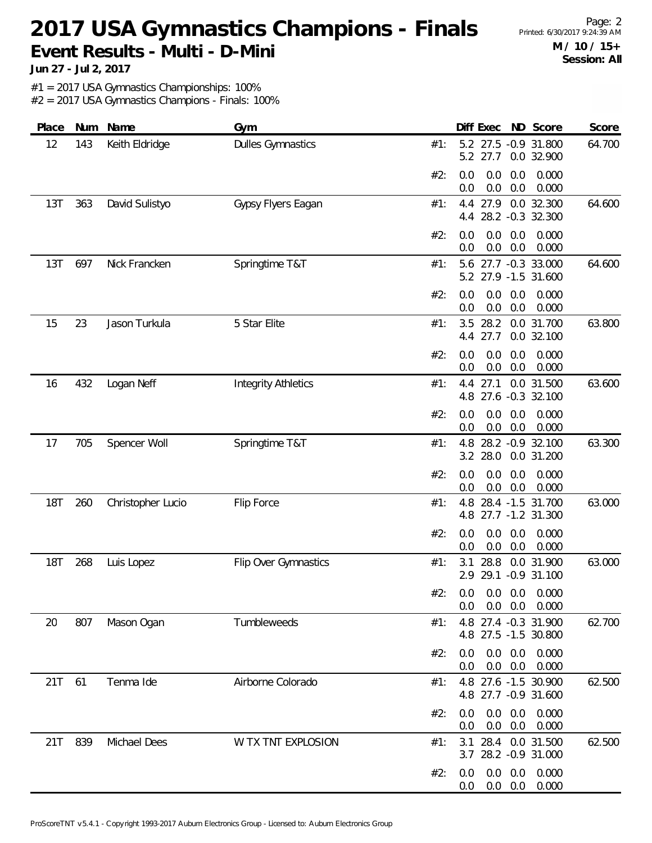# 2017 USA Gymnastics Champions - Finals Printed: 6/30/2017 9:24:39 AM **Event Results - Multi - D-Mini**

Page: 2 **M / 10 / 15+ Session: All**

**Jun 27 - Jul 2, 2017**

#1 = 2017 USA Gymnastics Championships: 100%

| Place      | Num | Name              | Gym                        | Diff Exec ND Score<br>Score                                             |
|------------|-----|-------------------|----------------------------|-------------------------------------------------------------------------|
| 12         | 143 | Keith Eldridge    | <b>Dulles Gymnastics</b>   | 5.2 27.5 -0.9 31.800<br>64.700<br>#1:<br>5.2 27.7<br>0.0 32.900         |
|            |     |                   |                            | 0.0<br>0.000<br>#2:<br>0.0<br>0.0<br>0.0<br>0.0<br>0.000<br>0.0         |
| 13T        | 363 | David Sulistyo    | Gypsy Flyers Eagan         | 27.9<br>0.0 32.300<br>64.600<br>#1:<br>4.4<br>28.2 -0.3 32.300<br>4.4   |
|            |     |                   |                            | #2:<br>0.0<br>0.0<br>0.0<br>0.000<br>0.0<br>0.0<br>0.000<br>0.0         |
| 13T        | 697 | Nick Francken     | Springtime T&T             | 5.6 27.7 -0.3 33.000<br>64.600<br>#1:<br>27.9 -1.5 31.600<br>5.2        |
|            |     |                   |                            | 0.0<br>0.0<br>#2:<br>0.0<br>0.000<br>0.0<br>0.0<br>0.0<br>0.000         |
| 15         | 23  | Jason Turkula     | 5 Star Elite               | 28.2<br>63.800<br>3.5<br>0.0 31.700<br>#1:<br>27.7<br>0.0 32.100<br>4.4 |
|            |     |                   |                            | 0.0<br>0.0<br>0.0<br>0.000<br>#2:<br>0.0<br>0.0<br>0.000<br>0.0         |
| 16         | 432 | Logan Neff        | <b>Integrity Athletics</b> | 27.1<br>0.0 31.500<br>4.4<br>63.600<br>#1:<br>4.8 27.6 -0.3 32.100      |
|            |     |                   |                            | #2:<br>0.000<br>0.0<br>0.0<br>0.0<br>0.0<br>0.0<br>0.0<br>0.000         |
| 17         | 705 | Spencer Woll      | Springtime T&T             | 28.2 - 0.9 32.100<br>63.300<br>4.8<br>#1:<br>28.0<br>3.2<br>0.0 31.200  |
|            |     |                   |                            | 0.0<br>0.0<br>0.0<br>0.000<br>#2:<br>0.0<br>0.0<br>0.000<br>0.0         |
| <b>18T</b> | 260 | Christopher Lucio | Flip Force                 | 63.000<br>4.8<br>28.4 -1.5 31.700<br>#1:<br>27.7 -1.2 31.300<br>4.8     |
|            |     |                   |                            | 0.0<br>0.0<br>0.0<br>0.000<br>#2:<br>0.0<br>0.0<br>0.000<br>0.0         |
| <b>18T</b> | 268 | Luis Lopez        | Flip Over Gymnastics       | 28.8<br>0.0 31.900<br>63.000<br>#1:<br>3.1<br>2.9 29.1 -0.9 31.100      |
|            |     |                   |                            | #2: 0.0 0.0 0.0 0.000<br>$0.0$ $0.0$ $0.000$<br>$0.0\,$                 |
| 20         | 807 | Mason Ogan        | Tumbleweeds                | 4.8 27.4 -0.3 31.900<br>62.700<br>#1:<br>4.8 27.5 -1.5 30.800           |
|            |     |                   |                            | #2:<br>$0.0\quad 0.0$<br>0.000<br>0.0<br>$0.0\quad 0.0$<br>0.000<br>0.0 |
| 21T        | 61  | Tenma Ide         | Airborne Colorado          | 4.8 27.6 -1.5 30.900<br>62.500<br>#1:<br>4.8 27.7 -0.9 31.600           |
|            |     |                   |                            | #2:<br>$0.0\quad 0.0$<br>0.000<br>0.0<br>$0.0\quad 0.0$<br>0.000<br>0.0 |
| 21T        | 839 | Michael Dees      | W TX TNT EXPLOSION         | 62.500<br>3.1 28.4 0.0 31.500<br>#1:<br>3.7 28.2 -0.9 31.000            |
|            |     |                   |                            | $0.0\quad 0.0$<br>0.000<br>#2:<br>0.0<br>$0.0\quad 0.0$<br>0.000<br>0.0 |